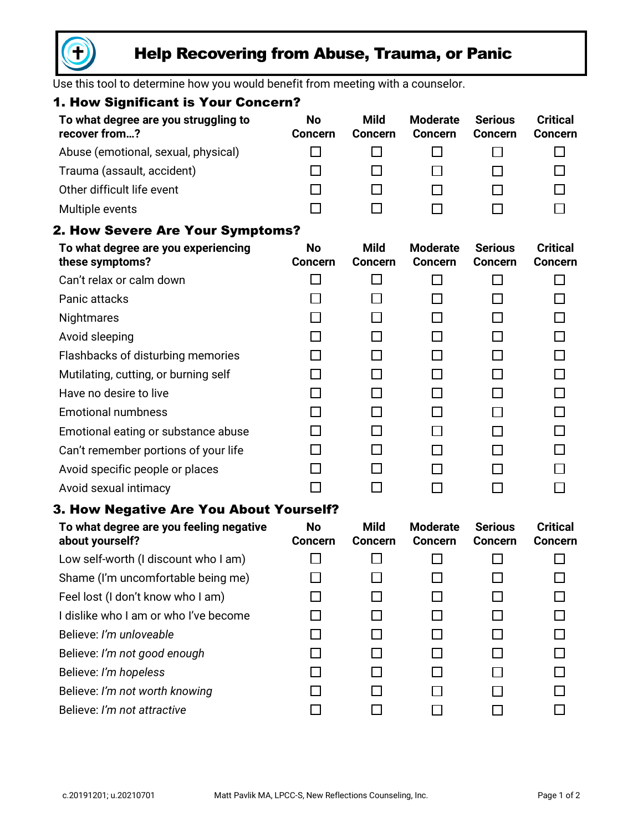

# Help Recovering from Abuse, Trauma, or Panic

Use this tool to determine how you would benefit from meeting with a counselor.

| 1. How Significant is Your Concern?                        |                             |                               |                                   |                                  |                                   |
|------------------------------------------------------------|-----------------------------|-------------------------------|-----------------------------------|----------------------------------|-----------------------------------|
| To what degree are you struggling to<br>recover from?      | <b>No</b><br><b>Concern</b> | <b>Mild</b><br><b>Concern</b> | <b>Moderate</b><br><b>Concern</b> | <b>Serious</b><br><b>Concern</b> | <b>Critical</b><br><b>Concern</b> |
| Abuse (emotional, sexual, physical)                        |                             | П                             |                                   |                                  | П                                 |
| Trauma (assault, accident)                                 |                             | П                             |                                   |                                  | П                                 |
| Other difficult life event                                 |                             | П                             |                                   |                                  |                                   |
| Multiple events                                            |                             | П                             |                                   |                                  |                                   |
| <b>2. How Severe Are Your Symptoms?</b>                    |                             |                               |                                   |                                  |                                   |
| To what degree are you experiencing<br>these symptoms?     | <b>No</b><br><b>Concern</b> | <b>Mild</b><br><b>Concern</b> | <b>Moderate</b><br><b>Concern</b> | <b>Serious</b><br><b>Concern</b> | <b>Critical</b><br><b>Concern</b> |
| Can't relax or calm down                                   |                             | $\mathsf{L}$                  |                                   | ΙI                               | П                                 |
| Panic attacks                                              |                             | П                             |                                   | ΙI                               | П                                 |
| Nightmares                                                 |                             | ΙI                            |                                   | П                                | П                                 |
| Avoid sleeping                                             |                             | П                             |                                   | ΙI                               | $\Box$                            |
| Flashbacks of disturbing memories                          |                             | ΙI                            |                                   | П                                | П                                 |
| Mutilating, cutting, or burning self                       |                             | П                             |                                   | $\Box$                           | $\Box$                            |
| Have no desire to live                                     |                             | ΙI                            |                                   | П                                | П                                 |
| <b>Emotional numbness</b>                                  |                             | П                             |                                   | $\Box$                           | $\Box$                            |
| Emotional eating or substance abuse                        |                             | ΙI                            |                                   | П                                | П                                 |
| Can't remember portions of your life                       |                             | П                             |                                   | П                                | $\Box$                            |
| Avoid specific people or places                            |                             | П                             |                                   |                                  | П                                 |
| Avoid sexual intimacy                                      |                             | П                             |                                   |                                  | П                                 |
| 3. How Negative Are You About Yourself?                    |                             |                               |                                   |                                  |                                   |
| To what degree are you feeling negative<br>about yourself? | No<br><b>Concern</b>        | <b>Mild</b><br><b>Concern</b> | <b>Moderate</b><br><b>Concern</b> | <b>Serious</b><br><b>Concern</b> | <b>Critical</b><br><b>Concern</b> |
| Low self-worth (I discount who I am)                       |                             |                               |                                   | □                                |                                   |
| Shame (I'm uncomfortable being me)                         |                             |                               |                                   |                                  |                                   |
| Feel lost (I don't know who I am)                          |                             |                               |                                   |                                  |                                   |
| I dislike who I am or who I've become                      |                             |                               |                                   |                                  |                                   |
| Believe: I'm unloveable                                    |                             |                               |                                   |                                  |                                   |
| Believe: I'm not good enough                               |                             |                               |                                   |                                  |                                   |
| Believe: I'm hopeless                                      |                             |                               |                                   |                                  |                                   |
| Believe: I'm not worth knowing                             |                             |                               |                                   |                                  |                                   |
| Believe: I'm not attractive                                |                             |                               |                                   |                                  |                                   |